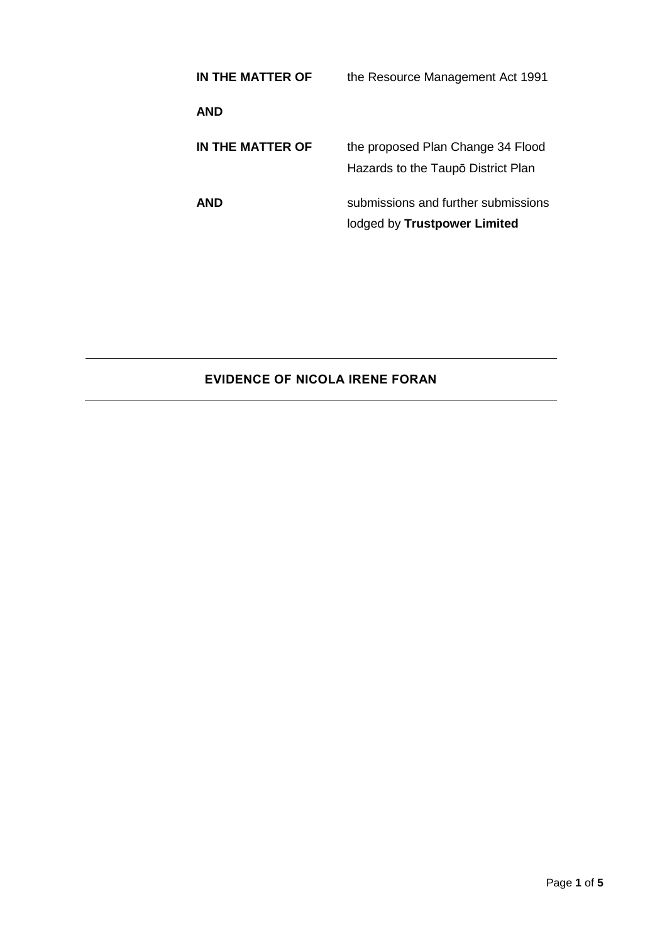| IN THE MATTER OF | the Resource Management Act 1991                                        |
|------------------|-------------------------------------------------------------------------|
| AND              |                                                                         |
| IN THE MATTER OF | the proposed Plan Change 34 Flood<br>Hazards to the Taupō District Plan |
| AND              | submissions and further submissions<br>lodged by Trustpower Limited     |

# **EVIDENCE OF NICOLA IRENE FORAN**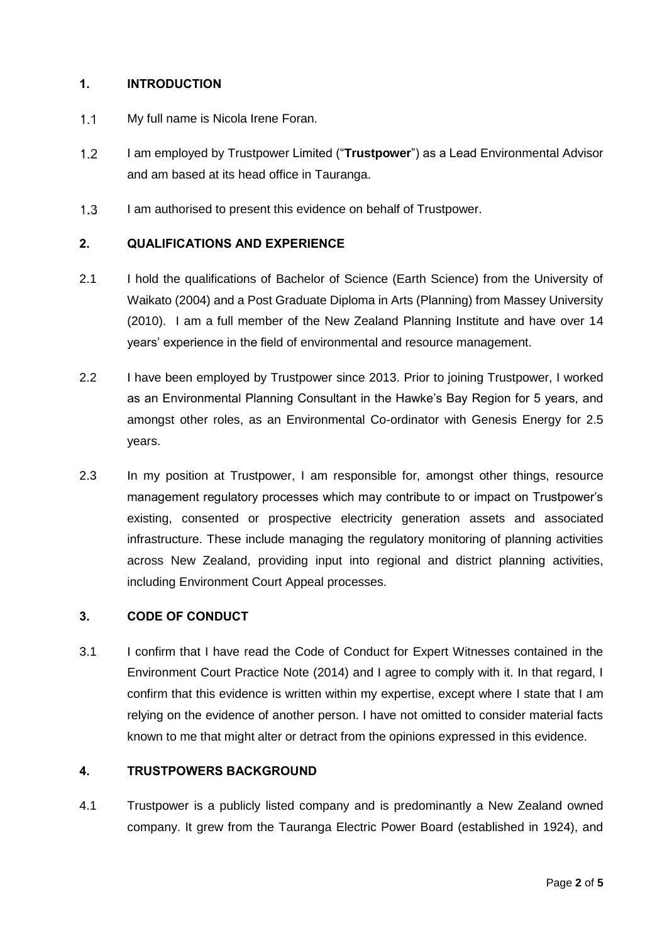#### **1. INTRODUCTION**

- $1.1$ My full name is Nicola Irene Foran.
- $1.2$ I am employed by Trustpower Limited ("**Trustpower**") as a Lead Environmental Advisor and am based at its head office in Tauranga.
- $1.3$ I am authorised to present this evidence on behalf of Trustpower.

#### **2. QUALIFICATIONS AND EXPERIENCE**

- 2.1 I hold the qualifications of Bachelor of Science (Earth Science) from the University of Waikato (2004) and a Post Graduate Diploma in Arts (Planning) from Massey University (2010). I am a full member of the New Zealand Planning Institute and have over 14 years' experience in the field of environmental and resource management.
- 2.2 I have been employed by Trustpower since 2013. Prior to joining Trustpower, I worked as an Environmental Planning Consultant in the Hawke's Bay Region for 5 years, and amongst other roles, as an Environmental Co-ordinator with Genesis Energy for 2.5 years.
- 2.3 In my position at Trustpower, I am responsible for, amongst other things, resource management regulatory processes which may contribute to or impact on Trustpower's existing, consented or prospective electricity generation assets and associated infrastructure. These include managing the regulatory monitoring of planning activities across New Zealand, providing input into regional and district planning activities, including Environment Court Appeal processes.

#### **3. CODE OF CONDUCT**

3.1 I confirm that I have read the Code of Conduct for Expert Witnesses contained in the Environment Court Practice Note (2014) and I agree to comply with it. In that regard, I confirm that this evidence is written within my expertise, except where I state that I am relying on the evidence of another person. I have not omitted to consider material facts known to me that might alter or detract from the opinions expressed in this evidence.

#### **4. TRUSTPOWERS BACKGROUND**

4.1 Trustpower is a publicly listed company and is predominantly a New Zealand owned company. It grew from the Tauranga Electric Power Board (established in 1924), and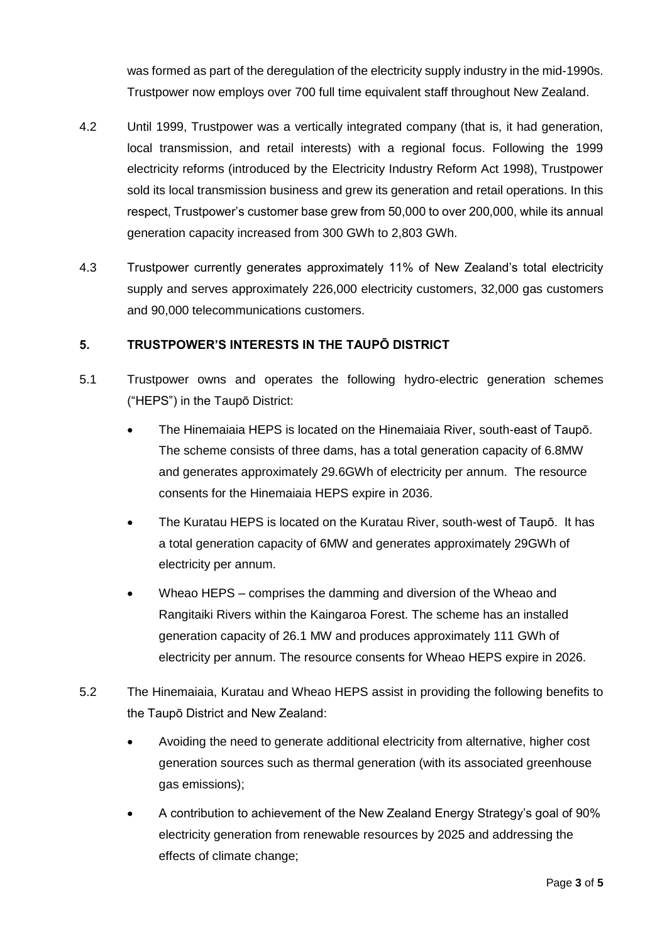was formed as part of the deregulation of the electricity supply industry in the mid-1990s. Trustpower now employs over 700 full time equivalent staff throughout New Zealand.

- 4.2 Until 1999, Trustpower was a vertically integrated company (that is, it had generation, local transmission, and retail interests) with a regional focus. Following the 1999 electricity reforms (introduced by the Electricity Industry Reform Act 1998), Trustpower sold its local transmission business and grew its generation and retail operations. In this respect, Trustpower's customer base grew from 50,000 to over 200,000, while its annual generation capacity increased from 300 GWh to 2,803 GWh.
- 4.3 Trustpower currently generates approximately 11% of New Zealand's total electricity supply and serves approximately 226,000 electricity customers, 32,000 gas customers and 90,000 telecommunications customers.

## **5. TRUSTPOWER'S INTERESTS IN THE TAUPŌ DISTRICT**

- 5.1 Trustpower owns and operates the following hydro-electric generation schemes ("HEPS") in the Taupō District:
	- The Hinemaiaia HEPS is located on the Hinemaiaia River, south-east of Taupō. The scheme consists of three dams, has a total generation capacity of 6.8MW and generates approximately 29.6GWh of electricity per annum. The resource consents for the Hinemaiaia HEPS expire in 2036.
	- The Kuratau HEPS is located on the Kuratau River, south-west of Taupō. It has a total generation capacity of 6MW and generates approximately 29GWh of electricity per annum.
	- Wheao HEPS comprises the damming and diversion of the Wheao and Rangitaiki Rivers within the Kaingaroa Forest. The scheme has an installed generation capacity of 26.1 MW and produces approximately 111 GWh of electricity per annum. The resource consents for Wheao HEPS expire in 2026.
- 5.2 The Hinemaiaia, Kuratau and Wheao HEPS assist in providing the following benefits to the Taupō District and New Zealand:
	- Avoiding the need to generate additional electricity from alternative, higher cost generation sources such as thermal generation (with its associated greenhouse gas emissions);
	- A contribution to achievement of the New Zealand Energy Strategy's goal of 90% electricity generation from renewable resources by 2025 and addressing the effects of climate change;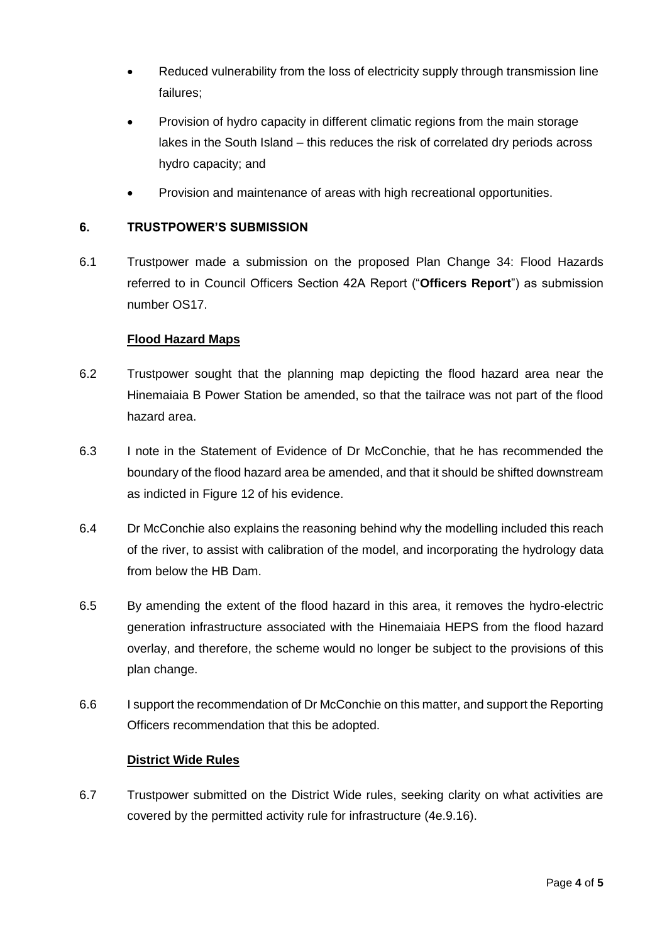- Reduced vulnerability from the loss of electricity supply through transmission line failures;
- Provision of hydro capacity in different climatic regions from the main storage lakes in the South Island – this reduces the risk of correlated dry periods across hydro capacity; and
- Provision and maintenance of areas with high recreational opportunities.

## **6. TRUSTPOWER'S SUBMISSION**

6.1 Trustpower made a submission on the proposed Plan Change 34: Flood Hazards referred to in Council Officers Section 42A Report ("**Officers Report**") as submission number OS17.

## **Flood Hazard Maps**

- 6.2 Trustpower sought that the planning map depicting the flood hazard area near the Hinemaiaia B Power Station be amended, so that the tailrace was not part of the flood hazard area.
- 6.3 I note in the Statement of Evidence of Dr McConchie, that he has recommended the boundary of the flood hazard area be amended, and that it should be shifted downstream as indicted in Figure 12 of his evidence.
- 6.4 Dr McConchie also explains the reasoning behind why the modelling included this reach of the river, to assist with calibration of the model, and incorporating the hydrology data from below the HB Dam.
- 6.5 By amending the extent of the flood hazard in this area, it removes the hydro-electric generation infrastructure associated with the Hinemaiaia HEPS from the flood hazard overlay, and therefore, the scheme would no longer be subject to the provisions of this plan change.
- 6.6 I support the recommendation of Dr McConchie on this matter, and support the Reporting Officers recommendation that this be adopted.

## **District Wide Rules**

6.7 Trustpower submitted on the District Wide rules, seeking clarity on what activities are covered by the permitted activity rule for infrastructure (4e.9.16).